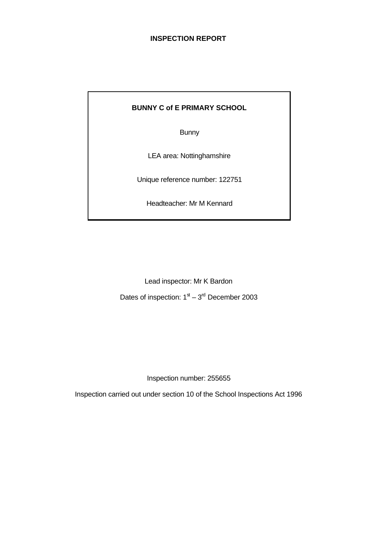# **INSPECTION REPORT**

# **BUNNY C of E PRIMARY SCHOOL**

**Bunny** 

LEA area: Nottinghamshire

Unique reference number: 122751

Headteacher: Mr M Kennard

Lead inspector: Mr K Bardon

Dates of inspection:  $1<sup>st</sup> - 3<sup>rd</sup>$  December 2003

Inspection number: 255655

Inspection carried out under section 10 of the School Inspections Act 1996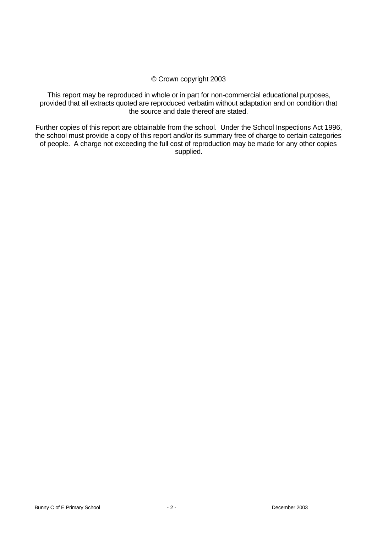## © Crown copyright 2003

This report may be reproduced in whole or in part for non-commercial educational purposes, provided that all extracts quoted are reproduced verbatim without adaptation and on condition that the source and date thereof are stated.

Further copies of this report are obtainable from the school. Under the School Inspections Act 1996, the school must provide a copy of this report and/or its summary free of charge to certain categories of people. A charge not exceeding the full cost of reproduction may be made for any other copies supplied.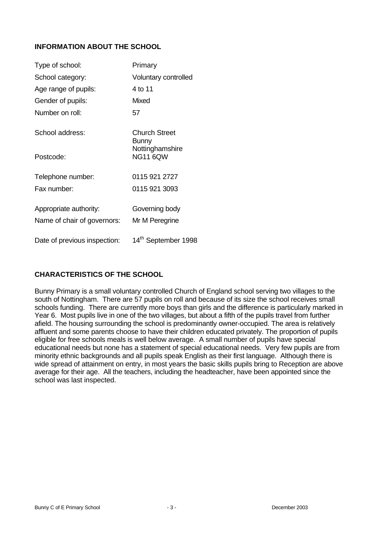# **INFORMATION ABOUT THE SCHOOL**

| Type of school:              | Primary                            |
|------------------------------|------------------------------------|
| School category:             | Voluntary controlled               |
| Age range of pupils:         | 4 to 11                            |
| Gender of pupils:            | <b>Mixed</b>                       |
| Number on roll:              | 57                                 |
| School address:              | Church Street<br>Bunny             |
| Postcode:                    | Nottinghamshire<br><b>NG11 6QW</b> |
| Telephone number:            | 0115 921 2727                      |
| Fax number:                  | 0115 921 3093                      |
| Appropriate authority:       | Governing body                     |
| Name of chair of governors:  | Mr M Peregrine                     |
| Date of previous inspection: | 14th September 1998                |

# **CHARACTERISTICS OF THE SCHOOL**

Bunny Primary is a small voluntary controlled Church of England school serving two villages to the south of Nottingham. There are 57 pupils on roll and because of its size the school receives small schools funding. There are currently more boys than girls and the difference is particularly marked in Year 6. Most pupils live in one of the two villages, but about a fifth of the pupils travel from further afield. The housing surrounding the school is predominantly owner-occupied. The area is relatively affluent and some parents choose to have their children educated privately. The proportion of pupils eligible for free schools meals is well below average. A small number of pupils have special educational needs but none has a statement of special educational needs. Very few pupils are from minority ethnic backgrounds and all pupils speak English as their first language. Although there is wide spread of attainment on entry, in most years the basic skills pupils bring to Reception are above average for their age. All the teachers, including the headteacher, have been appointed since the school was last inspected.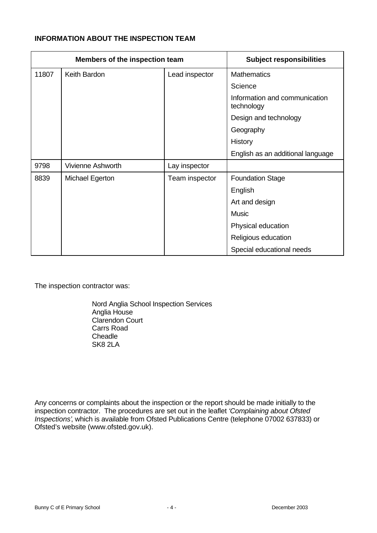# **INFORMATION ABOUT THE INSPECTION TEAM**

| Members of the inspection team |                          |                | <b>Subject responsibilities</b>             |
|--------------------------------|--------------------------|----------------|---------------------------------------------|
| 11807                          | Keith Bardon             | Lead inspector | <b>Mathematics</b>                          |
|                                |                          |                | Science                                     |
|                                |                          |                | Information and communication<br>technology |
|                                |                          |                | Design and technology                       |
|                                |                          |                | Geography                                   |
|                                |                          |                | History                                     |
|                                |                          |                | English as an additional language           |
| 9798                           | <b>Vivienne Ashworth</b> | Lay inspector  |                                             |
| 8839                           | Michael Egerton          | Team inspector | <b>Foundation Stage</b>                     |
|                                |                          |                | English                                     |
|                                |                          |                | Art and design                              |
|                                |                          |                | <b>Music</b>                                |
|                                |                          |                | Physical education                          |
|                                |                          |                | Religious education                         |
|                                |                          |                | Special educational needs                   |

The inspection contractor was:

Nord Anglia School Inspection Services Anglia House Clarendon Court Carrs Road **Cheadle** SK8 2LA

Any concerns or complaints about the inspection or the report should be made initially to the inspection contractor. The procedures are set out in the leaflet *'Complaining about Ofsted Inspections'*, which is available from Ofsted Publications Centre (telephone 07002 637833) or Ofsted's website (www.ofsted.gov.uk).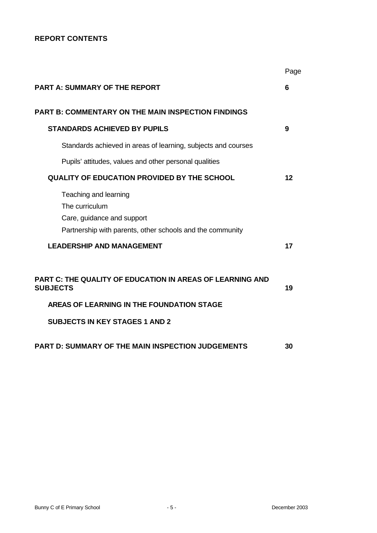# **REPORT CONTENTS**

|                                                                                                                                    | Page |
|------------------------------------------------------------------------------------------------------------------------------------|------|
| <b>PART A: SUMMARY OF THE REPORT</b>                                                                                               | 6    |
| PART B: COMMENTARY ON THE MAIN INSPECTION FINDINGS                                                                                 |      |
| <b>STANDARDS ACHIEVED BY PUPILS</b>                                                                                                | 9    |
| Standards achieved in areas of learning, subjects and courses                                                                      |      |
| Pupils' attitudes, values and other personal qualities                                                                             |      |
| <b>QUALITY OF EDUCATION PROVIDED BY THE SCHOOL</b>                                                                                 | 12   |
| Teaching and learning<br>The curriculum<br>Care, guidance and support<br>Partnership with parents, other schools and the community |      |
| <b>LEADERSHIP AND MANAGEMENT</b>                                                                                                   | 17   |
| <b>PART C: THE QUALITY OF EDUCATION IN AREAS OF LEARNING AND</b><br><b>SUBJECTS</b><br>AREAS OF LEARNING IN THE FOUNDATION STAGE   | 19   |
| <b>SUBJECTS IN KEY STAGES 1 AND 2</b>                                                                                              |      |
| <b>PART D: SUMMARY OF THE MAIN INSPECTION JUDGEMENTS</b>                                                                           | 30   |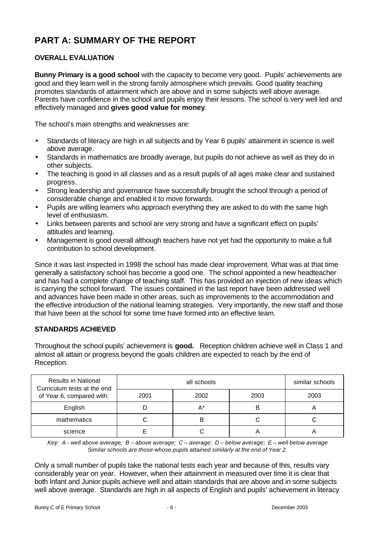# **PART A: SUMMARY OF THE REPORT**

# **OVERALL EVALUATION**

**Bunny Primary is a good school** with the capacity to become very good. Pupils' achievements are good and they learn well in the strong family atmosphere which prevails. Good quality teaching promotes standards of attainment which are above and in some subjects well above average. Parents have confidence in the school and pupils enjoy their lessons. The school is very well led and effectively managed and **gives good value for money**.

The school's main strengths and weaknesses are:

- Standards of literacy are high in all subjects and by Year 6 pupils' attainment in science is well above average.
- Standards in mathematics are broadly average, but pupils do not achieve as well as they do in other subjects.
- The teaching is good in all classes and as a result pupils of all ages make clear and sustained progress.
- Strong leadership and governance have successfully brought the school through a period of considerable change and enabled it to move forwards.
- Pupils are willing learners who approach everything they are asked to do with the same high level of enthusiasm.
- Links between parents and school are very strong and have a significant effect on pupils' attitudes and learning.
- Management is good overall although teachers have not yet had the opportunity to make a full contribution to school development.

Since it was last inspected in 1998 the school has made clear improvement. What was at that time generally a satisfactory school has become a good one. The school appointed a new headteacher and has had a complete change of teaching staff. This has provided an injection of new ideas which is carrying the school forward. The issues contained in the last report have been addressed well and advances have been made in other areas, such as improvements to the accommodation and the effective introduction of the national learning strategies. Very importantly, the new staff and those that have been at the school for some time have formed into an effective team.

# **STANDARDS ACHIEVED**

Throughout the school pupils' achievement is **good.** Reception children achieve well in Class 1 and almost all attain or progress beyond the goals children are expected to reach by the end of Reception.

| <b>Results in National</b><br>Curriculum tests at the end |      | similar schools |      |      |
|-----------------------------------------------------------|------|-----------------|------|------|
| of Year 6, compared with:                                 | 2001 | 2002            | 2003 | 2003 |
| English                                                   |      | $A^*$           | В    | m    |
| mathematics                                               |      |                 |      |      |
| science                                                   |      |                 |      | −    |

*Key: A - well above average; B – above average; C – average; D – below average; E – well below average Similar schools are those whose pupils attained similarly at the end of Year 2.*

Only a small number of pupils take the national tests each year and because of this, results vary considerably year on year. However, when their attainment in measured over time it is clear that both Infant and Junior pupils achieve well and attain standards that are above and in some subjects well above average. Standards are high in all aspects of English and pupils' achievement in literacy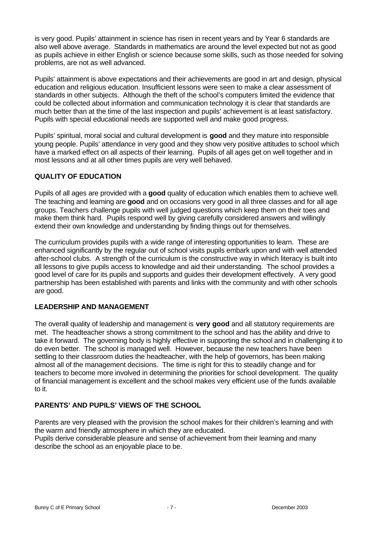is very good. Pupils' attainment in science has risen in recent years and by Year 6 standards are also well above average. Standards in mathematics are around the level expected but not as good as pupils achieve in either English or science because some skills, such as those needed for solving problems, are not as well advanced.

Pupils' attainment is above expectations and their achievements are good in art and design, physical education and religious education. Insufficient lessons were seen to make a clear assessment of standards in other subjects. Although the theft of the school's computers limited the evidence that could be collected about information and communication technology it is clear that standards are much better than at the time of the last inspection and pupils' achievement is at least satisfactory. Pupils with special educational needs are supported well and make good progress.

Pupils' spiritual, moral social and cultural development is **good** and they mature into responsible young people. Pupils' attendance in very good and they show very positive attitudes to school which have a marked effect on all aspects of their learning. Pupils of all ages get on well together and in most lessons and at all other times pupils are very well behaved.

# **QUALITY OF EDUCATION**

Pupils of all ages are provided with a **good** quality of education which enables them to achieve well. The teaching and learning are **good** and on occasions very good in all three classes and for all age groups. Teachers challenge pupils with well judged questions which keep them on their toes and make them think hard. Pupils respond well by giving carefully considered answers and willingly extend their own knowledge and understanding by finding things out for themselves.

The curriculum provides pupils with a wide range of interesting opportunities to learn. These are enhanced significantly by the regular out of school visits pupils embark upon and with well attended after-school clubs. A strength of the curriculum is the constructive way in which literacy is built into all lessons to give pupils access to knowledge and aid their understanding. The school provides a good level of care for its pupils and supports and guides their development effectively. A very good partnership has been established with parents and links with the community and with other schools are good.

# **LEADERSHIP AND MANAGEMENT**

The overall quality of leadership and management is **very good** and all statutory requirements are met. The headteacher shows a strong commitment to the school and has the ability and drive to take it forward. The governing body is highly effective in supporting the school and in challenging it to do even better. The school is managed well. However, because the new teachers have been settling to their classroom duties the headteacher, with the help of governors, has been making almost all of the management decisions. The time is right for this to steadily change and for teachers to become more involved in determining the priorities for school development. The quality of financial management is excellent and the school makes very efficient use of the funds available to it.

# **PARENTS' AND PUPILS' VIEWS OF THE SCHOOL**

Parents are very pleased with the provision the school makes for their children's learning and with the warm and friendly atmosphere in which they are educated. Pupils derive considerable pleasure and sense of achievement from their learning and many describe the school as an enjoyable place to be.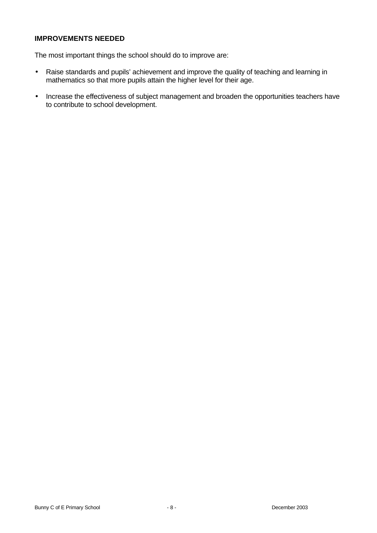# **IMPROVEMENTS NEEDED**

The most important things the school should do to improve are:

- Raise standards and pupils' achievement and improve the quality of teaching and learning in mathematics so that more pupils attain the higher level for their age.
- Increase the effectiveness of subject management and broaden the opportunities teachers have to contribute to school development.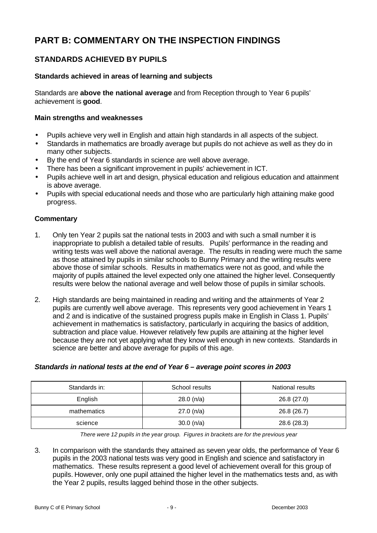# **PART B: COMMENTARY ON THE INSPECTION FINDINGS**

# **STANDARDS ACHIEVED BY PUPILS**

#### **Standards achieved in areas of learning and subjects**

Standards are **above the national average** and from Reception through to Year 6 pupils' achievement is **good**.

#### **Main strengths and weaknesses**

- Pupils achieve very well in English and attain high standards in all aspects of the subject.
- Standards in mathematics are broadly average but pupils do not achieve as well as they do in many other subjects.
- By the end of Year 6 standards in science are well above average.
- There has been a significant improvement in pupils' achievement in ICT.
- Pupils achieve well in art and design, physical education and religious education and attainment is above average.
- Pupils with special educational needs and those who are particularly high attaining make good progress.

#### **Commentary**

- 1. Only ten Year 2 pupils sat the national tests in 2003 and with such a small number it is inappropriate to publish a detailed table of results. Pupils' performance in the reading and writing tests was well above the national average. The results in reading were much the same as those attained by pupils in similar schools to Bunny Primary and the writing results were above those of similar schools. Results in mathematics were not as good, and while the majority of pupils attained the level expected only one attained the higher level. Consequently results were below the national average and well below those of pupils in similar schools.
- 2. High standards are being maintained in reading and writing and the attainments of Year 2 pupils are currently well above average. This represents very good achievement in Years 1 and 2 and is indicative of the sustained progress pupils make in English in Class 1. Pupils' achievement in mathematics is satisfactory, particularly in acquiring the basics of addition, subtraction and place value. However relatively few pupils are attaining at the higher level because they are not yet applying what they know well enough in new contexts. Standards in science are better and above average for pupils of this age.

| Standards in: | School results | National results |
|---------------|----------------|------------------|
| English       | 28.0(n/a)      | 26.8 (27.0)      |
| mathematics   | 27.0(n/a)      | 26.8 (26.7)      |
| science       | $30.0$ (n/a)   | 28.6 (28.3)      |

# *Standards in national tests at the end of Year 6 – average point scores in 2003*

*There were 12 pupils in the year group. Figures in brackets are for the previous year*

3. In comparison with the standards they attained as seven year olds, the performance of Year 6 pupils in the 2003 national tests was very good in English and science and satisfactory in mathematics. These results represent a good level of achievement overall for this group of pupils. However, only one pupil attained the higher level in the mathematics tests and, as with the Year 2 pupils, results lagged behind those in the other subjects.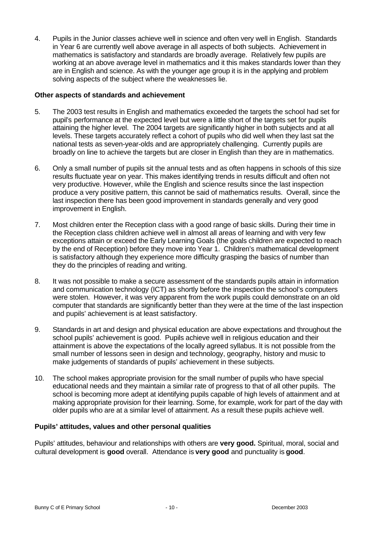4. Pupils in the Junior classes achieve well in science and often very well in English. Standards in Year 6 are currently well above average in all aspects of both subjects. Achievement in mathematics is satisfactory and standards are broadly average. Relatively few pupils are working at an above average level in mathematics and it this makes standards lower than they are in English and science. As with the younger age group it is in the applying and problem solving aspects of the subject where the weaknesses lie.

#### **Other aspects of standards and achievement**

- 5. The 2003 test results in English and mathematics exceeded the targets the school had set for pupil's performance at the expected level but were a little short of the targets set for pupils attaining the higher level. The 2004 targets are significantly higher in both subjects and at all levels. These targets accurately reflect a cohort of pupils who did well when they last sat the national tests as seven-year-olds and are appropriately challenging. Currently pupils are broadly on line to achieve the targets but are closer in English than they are in mathematics.
- 6. Only a small number of pupils sit the annual tests and as often happens in schools of this size results fluctuate year on year. This makes identifying trends in results difficult and often not very productive. However, while the English and science results since the last inspection produce a very positive pattern, this cannot be said of mathematics results. Overall, since the last inspection there has been good improvement in standards generally and very good improvement in English.
- 7. Most children enter the Reception class with a good range of basic skills. During their time in the Reception class children achieve well in almost all areas of learning and with very few exceptions attain or exceed the Early Learning Goals (the goals children are expected to reach by the end of Reception) before they move into Year 1. Children's mathematical development is satisfactory although they experience more difficulty grasping the basics of number than they do the principles of reading and writing.
- 8. It was not possible to make a secure assessment of the standards pupils attain in information and communication technology (ICT) as shortly before the inspection the school's computers were stolen. However, it was very apparent from the work pupils could demonstrate on an old computer that standards are significantly better than they were at the time of the last inspection and pupils' achievement is at least satisfactory.
- 9. Standards in art and design and physical education are above expectations and throughout the school pupils' achievement is good. Pupils achieve well in religious education and their attainment is above the expectations of the locally agreed syllabus. It is not possible from the small number of lessons seen in design and technology, geography, history and music to make judgements of standards of pupils' achievement in these subjects.
- 10. The school makes appropriate provision for the small number of pupils who have special educational needs and they maintain a similar rate of progress to that of all other pupils. The school is becoming more adept at identifying pupils capable of high levels of attainment and at making appropriate provision for their learning. Some, for example, work for part of the day with older pupils who are at a similar level of attainment. As a result these pupils achieve well.

#### **Pupils' attitudes, values and other personal qualities**

Pupils' attitudes, behaviour and relationships with others are **very good.** Spiritual, moral, social and cultural development is **good** overall. Attendance is **very good** and punctuality is **good**.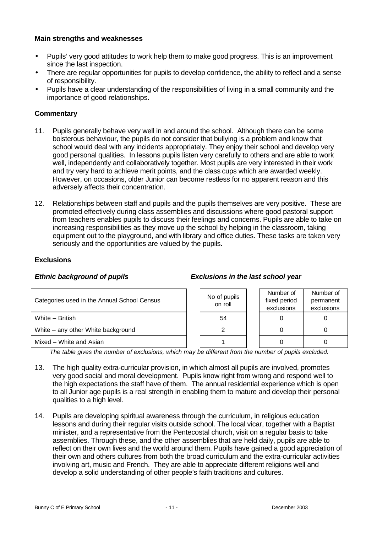#### **Main strengths and weaknesses**

- Pupils' very good attitudes to work help them to make good progress. This is an improvement since the last inspection.
- There are regular opportunities for pupils to develop confidence, the ability to reflect and a sense of responsibility.
- Pupils have a clear understanding of the responsibilities of living in a small community and the importance of good relationships.

#### **Commentary**

- 11. Pupils generally behave very well in and around the school. Although there can be some boisterous behaviour, the pupils do not consider that bullying is a problem and know that school would deal with any incidents appropriately. They enjoy their school and develop very good personal qualities. In lessons pupils listen very carefully to others and are able to work well, independently and collaboratively together. Most pupils are very interested in their work and try very hard to achieve merit points, and the class cups which are awarded weekly. However, on occasions, older Junior can become restless for no apparent reason and this adversely affects their concentration.
- 12. Relationships between staff and pupils and the pupils themselves are very positive. These are promoted effectively during class assemblies and discussions where good pastoral support from teachers enables pupils to discuss their feelings and concerns. Pupils are able to take on increasing responsibilities as they move up the school by helping in the classroom, taking equipment out to the playground, and with library and office duties. These tasks are taken very seriously and the opportunities are valued by the pupils.

#### **Exclusions**

#### *Ethnic background of pupils Exclusions in the last school year*

| Categories used in the Annual School Census | No of pupils<br>on roll | Number of<br>fixed period<br>exclusions | Number of<br>permanent<br>exclusions |
|---------------------------------------------|-------------------------|-----------------------------------------|--------------------------------------|
| White - British                             | 54                      |                                         |                                      |
| White – any other White background          |                         |                                         |                                      |
| Mixed - White and Asian                     |                         |                                         |                                      |

*The table gives the number of exclusions, which may be different from the number of pupils excluded.*

- 13. The high quality extra-curricular provision, in which almost all pupils are involved, promotes very good social and moral development. Pupils know right from wrong and respond well to the high expectations the staff have of them. The annual residential experience which is open to all Junior age pupils is a real strength in enabling them to mature and develop their personal qualities to a high level.
- 14. Pupils are developing spiritual awareness through the curriculum, in religious education lessons and during their regular visits outside school. The local vicar, together with a Baptist minister, and a representative from the Pentecostal church, visit on a regular basis to take assemblies. Through these, and the other assemblies that are held daily, pupils are able to reflect on their own lives and the world around them. Pupils have gained a good appreciation of their own and others cultures from both the broad curriculum and the extra-curricular activities involving art, music and French. They are able to appreciate different religions well and develop a solid understanding of other people's faith traditions and cultures.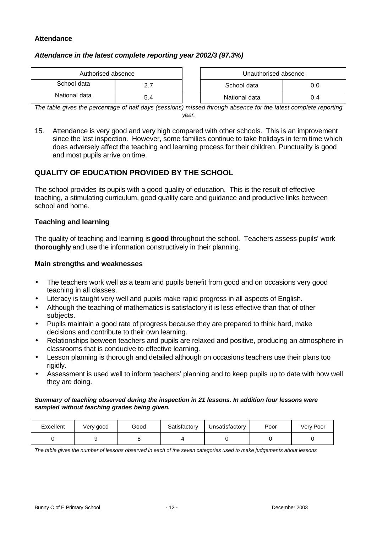#### **Attendance**

#### *Attendance in the latest complete reporting year 2002/3 (97.3%)*

| Authorised absence |     | Unauthorised absence |     |
|--------------------|-----|----------------------|-----|
| School data        |     | School data          |     |
| National data      | 5.4 | National data        | 0.4 |

| Authorised absence |  | Unauthorised absence |     |
|--------------------|--|----------------------|-----|
| data               |  | School data          | U.O |
| data               |  | National data        | 0.4 |

*The table gives the percentage of half days (sessions) missed through absence for the latest complete reporting year.*

15. Attendance is very good and very high compared with other schools. This is an improvement since the last inspection. However, some families continue to take holidays in term time which does adversely affect the teaching and learning process for their children. Punctuality is good and most pupils arrive on time.

# **QUALITY OF EDUCATION PROVIDED BY THE SCHOOL**

The school provides its pupils with a good quality of education. This is the result of effective teaching, a stimulating curriculum, good quality care and guidance and productive links between school and home.

#### **Teaching and learning**

The quality of teaching and learning is **good** throughout the school. Teachers assess pupils' work **thoroughly** and use the information constructively in their planning.

#### **Main strengths and weaknesses**

- The teachers work well as a team and pupils benefit from good and on occasions very good teaching in all classes.
- Literacy is taught very well and pupils make rapid progress in all aspects of English.
- Although the teaching of mathematics is satisfactory it is less effective than that of other subjects.
- Pupils maintain a good rate of progress because they are prepared to think hard, make decisions and contribute to their own learning.
- Relationships between teachers and pupils are relaxed and positive, producing an atmosphere in classrooms that is conducive to effective learning.
- Lesson planning is thorough and detailed although on occasions teachers use their plans too rigidly.
- Assessment is used well to inform teachers' planning and to keep pupils up to date with how well they are doing.

#### *Summary of teaching observed during the inspection in 21 lessons. In addition four lessons were sampled without teaching grades being given.*

| Excellent | Very good | Good | Satisfactory | Unsatisfactory | Poor | Very Poor |
|-----------|-----------|------|--------------|----------------|------|-----------|
|           |           |      |              |                |      |           |

*The table gives the number of lessons observed in each of the seven categories used to make judgements about lessons*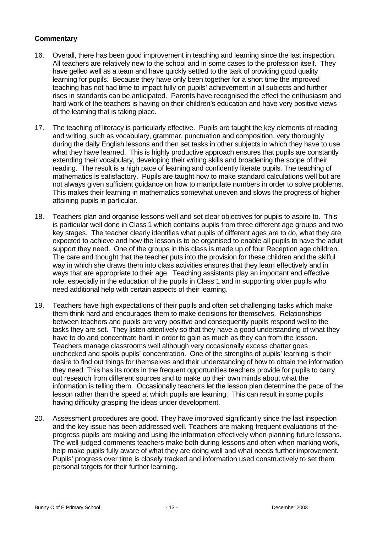- 16. Overall, there has been good improvement in teaching and learning since the last inspection. All teachers are relatively new to the school and in some cases to the profession itself. They have gelled well as a team and have quickly settled to the task of providing good quality learning for pupils. Because they have only been together for a short time the improved teaching has not had time to impact fully on pupils' achievement in all subjects and further rises in standards can be anticipated. Parents have recognised the effect the enthusiasm and hard work of the teachers is having on their children's education and have very positive views of the learning that is taking place.
- 17. The teaching of literacy is particularly effective. Pupils are taught the key elements of reading and writing, such as vocabulary, grammar, punctuation and composition, very thoroughly during the daily English lessons and then set tasks in other subjects in which they have to use what they have learned. This is highly productive approach ensures that pupils are constantly extending their vocabulary, developing their writing skills and broadening the scope of their reading. The result is a high pace of learning and confidently literate pupils. The teaching of mathematics is satisfactory. Pupils are taught how to make standard calculations well but are not always given sufficient guidance on how to manipulate numbers in order to solve problems. This makes their learning in mathematics somewhat uneven and slows the progress of higher attaining pupils in particular.
- 18. Teachers plan and organise lessons well and set clear objectives for pupils to aspire to. This is particular well done in Class 1 which contains pupils from three different age groups and two key stages. The teacher clearly identifies what pupils of different ages are to do, what they are expected to achieve and how the lesson is to be organised to enable all pupils to have the adult support they need. One of the groups in this class is made up of four Reception age children. The care and thought that the teacher puts into the provision for these children and the skilful way in which she draws them into class activities ensures that they learn effectively and in ways that are appropriate to their age. Teaching assistants play an important and effective role, especially in the education of the pupils in Class 1 and in supporting older pupils who need additional help with certain aspects of their learning.
- 19. Teachers have high expectations of their pupils and often set challenging tasks which make them think hard and encourages them to make decisions for themselves. Relationships between teachers and pupils are very positive and consequently pupils respond well to the tasks they are set. They listen attentively so that they have a good understanding of what they have to do and concentrate hard in order to gain as much as they can from the lesson. Teachers manage classrooms well although very occasionally excess chatter goes unchecked and spoils pupils' concentration. One of the strengths of pupils' learning is their desire to find out things for themselves and their understanding of how to obtain the information they need. This has its roots in the frequent opportunities teachers provide for pupils to carry out research from different sources and to make up their own minds about what the information is telling them. Occasionally teachers let the lesson plan determine the pace of the lesson rather than the speed at which pupils are learning. This can result in some pupils having difficulty grasping the ideas under development.
- 20. Assessment procedures are good. They have improved significantly since the last inspection and the key issue has been addressed well. Teachers are making frequent evaluations of the progress pupils are making and using the information effectively when planning future lessons. The well judged comments teachers make both during lessons and often when marking work, help make pupils fully aware of what they are doing well and what needs further improvement. Pupils' progress over time is closely tracked and information used constructively to set them personal targets for their further learning.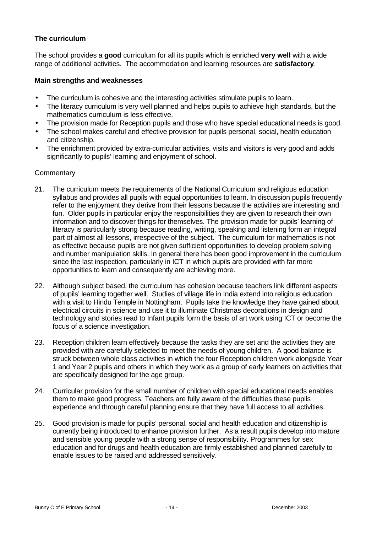### **The curriculum**

The school provides a **good** curriculum for all its pupils which is enriched **very well** with a wide range of additional activities. The accommodation and learning resources are **satisfactory**.

#### **Main strengths and weaknesses**

- The curriculum is cohesive and the interesting activities stimulate pupils to learn.
- The literacy curriculum is very well planned and helps pupils to achieve high standards, but the mathematics curriculum is less effective.
- The provision made for Reception pupils and those who have special educational needs is good.
- The school makes careful and effective provision for pupils personal, social, health education and citizenship.
- The enrichment provided by extra-curricular activities, visits and visitors is very good and adds significantly to pupils' learning and enjoyment of school.

- 21. The curriculum meets the requirements of the National Curriculum and religious education syllabus and provides all pupils with equal opportunities to learn. In discussion pupils frequently refer to the enjoyment they derive from their lessons because the activities are interesting and fun. Older pupils in particular enjoy the responsibilities they are given to research their own information and to discover things for themselves. The provision made for pupils' learning of literacy is particularly strong because reading, writing, speaking and listening form an integral part of almost all lessons, irrespective of the subject. The curriculum for mathematics is not as effective because pupils are not given sufficient opportunities to develop problem solving and number manipulation skills. In general there has been good improvement in the curriculum since the last inspection, particularly in ICT in which pupils are provided with far more opportunities to learn and consequently are achieving more.
- 22. Although subject based, the curriculum has cohesion because teachers link different aspects of pupils' learning together well. Studies of village life in India extend into religious education with a visit to Hindu Temple in Nottingham. Pupils take the knowledge they have gained about electrical circuits in science and use it to illuminate Christmas decorations in design and technology and stories read to Infant pupils form the basis of art work using ICT or become the focus of a science investigation.
- 23. Reception children learn effectively because the tasks they are set and the activities they are provided with are carefully selected to meet the needs of young children. A good balance is struck between whole class activities in which the four Reception children work alongside Year 1 and Year 2 pupils and others in which they work as a group of early learners on activities that are specifically designed for the age group.
- 24. Curricular provision for the small number of children with special educational needs enables them to make good progress. Teachers are fully aware of the difficulties these pupils experience and through careful planning ensure that they have full access to all activities.
- 25. Good provision is made for pupils' personal, social and health education and citizenship is currently being introduced to enhance provision further. As a result pupils develop into mature and sensible young people with a strong sense of responsibility. Programmes for sex education and for drugs and health education are firmly established and planned carefully to enable issues to be raised and addressed sensitively.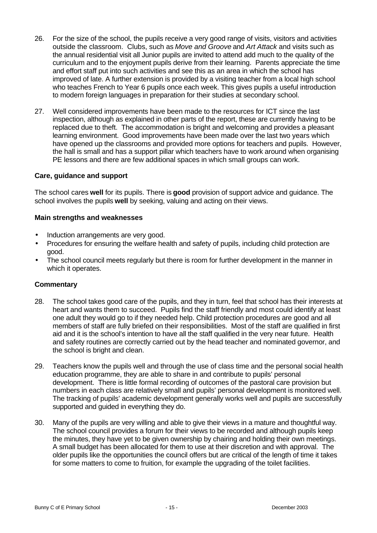- 26. For the size of the school, the pupils receive a very good range of visits, visitors and activities outside the classroom. Clubs, such as *Move and Groove* and *Art Attack* and visits such as the annual residential visit all Junior pupils are invited to attend add much to the quality of the curriculum and to the enjoyment pupils derive from their learning. Parents appreciate the time and effort staff put into such activities and see this as an area in which the school has improved of late. A further extension is provided by a visiting teacher from a local high school who teaches French to Year 6 pupils once each week. This gives pupils a useful introduction to modern foreign languages in preparation for their studies at secondary school.
- 27. Well considered improvements have been made to the resources for ICT since the last inspection, although as explained in other parts of the report, these are currently having to be replaced due to theft. The accommodation is bright and welcoming and provides a pleasant learning environment. Good improvements have been made over the last two years which have opened up the classrooms and provided more options for teachers and pupils. However, the hall is small and has a support pillar which teachers have to work around when organising PE lessons and there are few additional spaces in which small groups can work.

#### **Care, guidance and support**

The school cares **well** for its pupils. There is **good** provision of support advice and guidance. The school involves the pupils **well** by seeking, valuing and acting on their views.

#### **Main strengths and weaknesses**

- Induction arrangements are very good.
- Procedures for ensuring the welfare health and safety of pupils, including child protection are good.
- The school council meets regularly but there is room for further development in the manner in which it operates.

- 28. The school takes good care of the pupils, and they in turn, feel that school has their interests at heart and wants them to succeed. Pupils find the staff friendly and most could identify at least one adult they would go to if they needed help. Child protection procedures are good and all members of staff are fully briefed on their responsibilities. Most of the staff are qualified in first aid and it is the school's intention to have all the staff qualified in the very near future. Health and safety routines are correctly carried out by the head teacher and nominated governor, and the school is bright and clean.
- 29. Teachers know the pupils well and through the use of class time and the personal social health education programme, they are able to share in and contribute to pupils' personal development. There is little formal recording of outcomes of the pastoral care provision but numbers in each class are relatively small and pupils' personal development is monitored well. The tracking of pupils' academic development generally works well and pupils are successfully supported and guided in everything they do.
- 30. Many of the pupils are very willing and able to give their views in a mature and thoughtful way. The school council provides a forum for their views to be recorded and although pupils keep the minutes, they have yet to be given ownership by chairing and holding their own meetings. A small budget has been allocated for them to use at their discretion and with approval. The older pupils like the opportunities the council offers but are critical of the length of time it takes for some matters to come to fruition, for example the upgrading of the toilet facilities.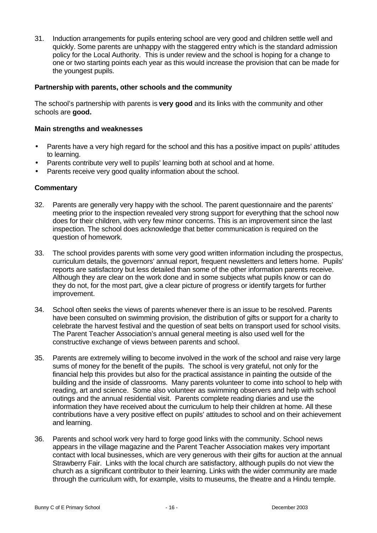31. Induction arrangements for pupils entering school are very good and children settle well and quickly. Some parents are unhappy with the staggered entry which is the standard admission policy for the Local Authority. This is under review and the school is hoping for a change to one or two starting points each year as this would increase the provision that can be made for the youngest pupils.

#### **Partnership with parents, other schools and the community**

The school's partnership with parents is **very good** and its links with the community and other schools are **good.**

#### **Main strengths and weaknesses**

- Parents have a very high regard for the school and this has a positive impact on pupils' attitudes to learning.
- Parents contribute very well to pupils' learning both at school and at home.
- Parents receive very good quality information about the school.

- 32. Parents are generally very happy with the school. The parent questionnaire and the parents' meeting prior to the inspection revealed very strong support for everything that the school now does for their children, with very few minor concerns. This is an improvement since the last inspection. The school does acknowledge that better communication is required on the question of homework.
- 33. The school provides parents with some very good written information including the prospectus, curriculum details, the governors' annual report, frequent newsletters and letters home. Pupils' reports are satisfactory but less detailed than some of the other information parents receive. Although they are clear on the work done and in some subjects what pupils know or can do they do not, for the most part, give a clear picture of progress or identify targets for further improvement.
- 34. School often seeks the views of parents whenever there is an issue to be resolved. Parents have been consulted on swimming provision, the distribution of gifts or support for a charity to celebrate the harvest festival and the question of seat belts on transport used for school visits. The Parent Teacher Association's annual general meeting is also used well for the constructive exchange of views between parents and school.
- 35. Parents are extremely willing to become involved in the work of the school and raise very large sums of money for the benefit of the pupils. The school is very grateful, not only for the financial help this provides but also for the practical assistance in painting the outside of the building and the inside of classrooms. Many parents volunteer to come into school to help with reading, art and science. Some also volunteer as swimming observers and help with school outings and the annual residential visit. Parents complete reading diaries and use the information they have received about the curriculum to help their children at home. All these contributions have a very positive effect on pupils' attitudes to school and on their achievement and learning.
- 36. Parents and school work very hard to forge good links with the community. School news appears in the village magazine and the Parent Teacher Association makes very important contact with local businesses, which are very generous with their gifts for auction at the annual Strawberry Fair. Links with the local church are satisfactory, although pupils do not view the church as a significant contributor to their learning. Links with the wider community are made through the curriculum with, for example, visits to museums, the theatre and a Hindu temple.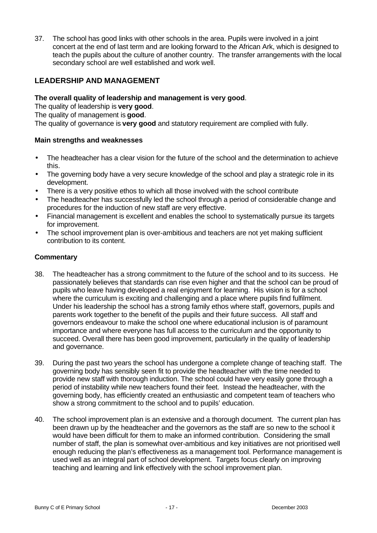37. The school has good links with other schools in the area. Pupils were involved in a joint concert at the end of last term and are looking forward to the African Ark, which is designed to teach the pupils about the culture of another country. The transfer arrangements with the local secondary school are well established and work well.

# **LEADERSHIP AND MANAGEMENT**

#### **The overall quality of leadership and management is very good**.

The quality of leadership is **very good**.

The quality of management is **good**.

The quality of governance is **very good** and statutory requirement are complied with fully.

#### **Main strengths and weaknesses**

- The headteacher has a clear vision for the future of the school and the determination to achieve this.
- The governing body have a very secure knowledge of the school and play a strategic role in its development.
- There is a very positive ethos to which all those involved with the school contribute
- The headteacher has successfully led the school through a period of considerable change and procedures for the induction of new staff are very effective.
- Financial management is excellent and enables the school to systematically pursue its targets for improvement.
- The school improvement plan is over-ambitious and teachers are not yet making sufficient contribution to its content.

- 38. The headteacher has a strong commitment to the future of the school and to its success. He passionately believes that standards can rise even higher and that the school can be proud of pupils who leave having developed a real enjoyment for learning. His vision is for a school where the curriculum is exciting and challenging and a place where pupils find fulfilment. Under his leadership the school has a strong family ethos where staff, governors, pupils and parents work together to the benefit of the pupils and their future success. All staff and governors endeavour to make the school one where educational inclusion is of paramount importance and where everyone has full access to the curriculum and the opportunity to succeed. Overall there has been good improvement, particularly in the quality of leadership and governance.
- 39. During the past two years the school has undergone a complete change of teaching staff. The governing body has sensibly seen fit to provide the headteacher with the time needed to provide new staff with thorough induction. The school could have very easily gone through a period of instability while new teachers found their feet. Instead the headteacher, with the governing body, has efficiently created an enthusiastic and competent team of teachers who show a strong commitment to the school and to pupils' education.
- 40. The school improvement plan is an extensive and a thorough document. The current plan has been drawn up by the headteacher and the governors as the staff are so new to the school it would have been difficult for them to make an informed contribution. Considering the small number of staff, the plan is somewhat over-ambitious and key initiatives are not prioritised well enough reducing the plan's effectiveness as a management tool. Performance management is used well as an integral part of school development. Targets focus clearly on improving teaching and learning and link effectively with the school improvement plan.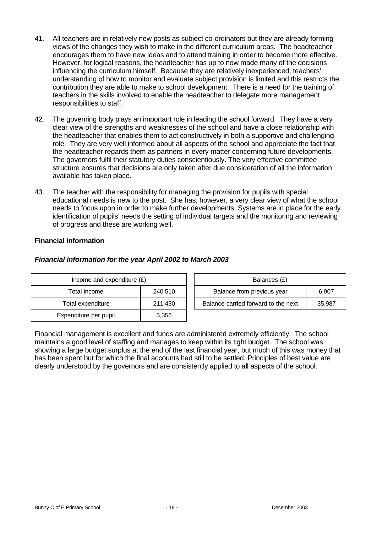- 41. All teachers are in relatively new posts as subject co-ordinators but they are already forming views of the changes they wish to make in the different curriculum areas. The headteacher encourages them to have new ideas and to attend training in order to become more effective. However, for logical reasons, the headteacher has up to now made many of the decisions influencing the curriculum himself. Because they are relatively inexperienced, teachers' understanding of how to monitor and evaluate subject provision is limited and this restricts the contribution they are able to make to school development. There is a need for the training of teachers in the skills involved to enable the headteacher to delegate more management responsibilities to staff.
- 42. The governing body plays an important role in leading the school forward. They have a very clear view of the strengths and weaknesses of the school and have a close relationship with the headteacher that enables them to act constructively in both a supportive and challenging role. They are very well informed about all aspects of the school and appreciate the fact that the headteacher regards them as partners in every matter concerning future developments. The governors fulfil their statutory duties conscientiously. The very effective committee structure ensures that decisions are only taken after due consideration of all the information available has taken place.
- 43. The teacher with the responsibility for managing the provision for pupils with special educational needs is new to the post. She has, however, a very clear view of what the school needs to focus upon in order to make further developments. Systems are in place for the early identification of pupils' needs the setting of individual targets and the monitoring and reviewing of progress and these are working well.

#### **Financial information**

| Income and expenditure $(E)$ |         | Balances (£)                                  |  |
|------------------------------|---------|-----------------------------------------------|--|
| Total income                 | 240,510 | Balance from previous year<br>6.907           |  |
| Total expenditure            | 211,430 | Balance carried forward to the next<br>35,987 |  |
| Expenditure per pupil        | 3,356   |                                               |  |

#### *Financial information for the year April 2002 to March 2003*

Financial management is excellent and funds are administered extremely efficiently. The school maintains a good level of staffing and manages to keep within its tight budget. The school was showing a large budget surplus at the end of the last financial year, but much of this was money that has been spent but for which the final accounts had still to be settled. Principles of best value are clearly understood by the governors and are consistently applied to all aspects of the school.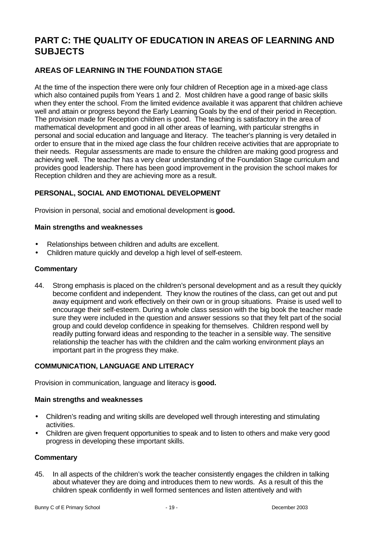# **PART C: THE QUALITY OF EDUCATION IN AREAS OF LEARNING AND SUBJECTS**

# **AREAS OF LEARNING IN THE FOUNDATION STAGE**

At the time of the inspection there were only four children of Reception age in a mixed-age class which also contained pupils from Years 1 and 2. Most children have a good range of basic skills when they enter the school. From the limited evidence available it was apparent that children achieve well and attain or progress beyond the Early Learning Goals by the end of their period in Reception. The provision made for Reception children is good. The teaching is satisfactory in the area of mathematical development and good in all other areas of learning, with particular strengths in personal and social education and language and literacy. The teacher's planning is very detailed in order to ensure that in the mixed age class the four children receive activities that are appropriate to their needs. Regular assessments are made to ensure the children are making good progress and achieving well. The teacher has a very clear understanding of the Foundation Stage curriculum and provides good leadership. There has been good improvement in the provision the school makes for Reception children and they are achieving more as a result.

# **PERSONAL, SOCIAL AND EMOTIONAL DEVELOPMENT**

Provision in personal, social and emotional development is **good.**

#### **Main strengths and weaknesses**

- Relationships between children and adults are excellent.
- Children mature quickly and develop a high level of self-esteem.

#### **Commentary**

44. Strong emphasis is placed on the children's personal development and as a result they quickly become confident and independent. They know the routines of the class, can get out and put away equipment and work effectively on their own or in group situations. Praise is used well to encourage their self-esteem. During a whole class session with the big book the teacher made sure they were included in the question and answer sessions so that they felt part of the social group and could develop confidence in speaking for themselves. Children respond well by readily putting forward ideas and responding to the teacher in a sensible way. The sensitive relationship the teacher has with the children and the calm working environment plays an important part in the progress they make.

# **COMMUNICATION, LANGUAGE AND LITERACY**

Provision in communication, language and literacy is **good.**

#### **Main strengths and weaknesses**

- Children's reading and writing skills are developed well through interesting and stimulating activities.
- Children are given frequent opportunities to speak and to listen to others and make very good progress in developing these important skills.

#### **Commentary**

45. In all aspects of the children's work the teacher consistently engages the children in talking about whatever they are doing and introduces them to new words. As a result of this the children speak confidently in well formed sentences and listen attentively and with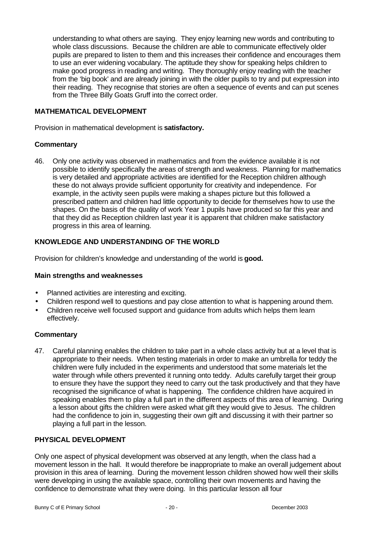understanding to what others are saying. They enjoy learning new words and contributing to whole class discussions. Because the children are able to communicate effectively older pupils are prepared to listen to them and this increases their confidence and encourages them to use an ever widening vocabulary. The aptitude they show for speaking helps children to make good progress in reading and writing. They thoroughly enjoy reading with the teacher from the 'big book' and are already joining in with the older pupils to try and put expression into their reading. They recognise that stories are often a sequence of events and can put scenes from the Three Billy Goats Gruff into the correct order.

#### **MATHEMATICAL DEVELOPMENT**

Provision in mathematical development is **satisfactory.**

#### **Commentary**

46. Only one activity was observed in mathematics and from the evidence available it is not possible to identify specifically the areas of strength and weakness. Planning for mathematics is very detailed and appropriate activities are identified for the Reception children although these do not always provide sufficient opportunity for creativity and independence. For example, in the activity seen pupils were making a shapes picture but this followed a prescribed pattern and children had little opportunity to decide for themselves how to use the shapes. On the basis of the quality of work Year 1 pupils have produced so far this year and that they did as Reception children last year it is apparent that children make satisfactory progress in this area of learning.

#### **KNOWLEDGE AND UNDERSTANDING OF THE WORLD**

Provision for children's knowledge and understanding of the world is **good.**

#### **Main strengths and weaknesses**

- Planned activities are interesting and exciting.
- Children respond well to questions and pay close attention to what is happening around them.
- Children receive well focused support and guidance from adults which helps them learn effectively.

#### **Commentary**

47. Careful planning enables the children to take part in a whole class activity but at a level that is appropriate to their needs. When testing materials in order to make an umbrella for teddy the children were fully included in the experiments and understood that some materials let the water through while others prevented it running onto teddy. Adults carefully target their group to ensure they have the support they need to carry out the task productively and that they have recognised the significance of what is happening. The confidence children have acquired in speaking enables them to play a full part in the different aspects of this area of learning. During a lesson about gifts the children were asked what gift they would give to Jesus. The children had the confidence to join in, suggesting their own gift and discussing it with their partner so playing a full part in the lesson.

#### **PHYSICAL DEVELOPMENT**

Only one aspect of physical development was observed at any length, when the class had a movement lesson in the hall. It would therefore be inappropriate to make an overall judgement about provision in this area of learning. During the movement lesson children showed how well their skills were developing in using the available space, controlling their own movements and having the confidence to demonstrate what they were doing. In this particular lesson all four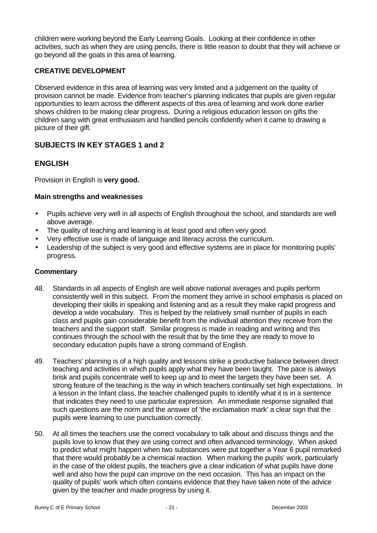children were working beyond the Early Learning Goals. Looking at their confidence in other activities, such as when they are using pencils, there is little reason to doubt that they will achieve or go beyond all the goals in this area of learning.

# **CREATIVE DEVELOPMENT**

Observed evidence in this area of learning was very limited and a judgement on the quality of provision cannot be made. Evidence from teacher's planning indicates that pupils are given regular opportunities to learn across the different aspects of this area of learning and work done earlier shows children to be making clear progress. During a religious education lesson on gifts the children sang with great enthusiasm and handled pencils confidently when it came to drawing a picture of their gift.

# **SUBJECTS IN KEY STAGES 1 and 2**

# **ENGLISH**

Provision in English is **very good.**

#### **Main strengths and weaknesses**

- Pupils achieve very well in all aspects of English throughout the school, and standards are well above average.
- The quality of teaching and learning is at least good and often very good.
- Very effective use is made of language and literacy across the curriculum.
- Leadership of the subject is very good and effective systems are in place for monitoring pupils' progress.

- 48. Standards in all aspects of English are well above national averages and pupils perform consistently well in this subject. From the moment they arrive in school emphasis is placed on developing their skills in speaking and listening and as a result they make rapid progress and develop a wide vocabulary. This is helped by the relatively small number of pupils in each class and pupils gain considerable benefit from the individual attention they receive from the teachers and the support staff. Similar progress is made in reading and writing and this continues through the school with the result that by the time they are ready to move to secondary education pupils have a strong command of English.
- 49. Teachers' planning is of a high quality and lessons strike a productive balance between direct teaching and activities in which pupils apply what they have been taught. The pace is always brisk and pupils concentrate well to keep up and to meet the targets they have been set. A strong feature of the teaching is the way in which teachers continually set high expectations. In a lesson in the Infant class, the teacher challenged pupils to identify what it is in a sentence that indicates they need to use particular expression. An immediate response signalled that such questions are the norm and the answer of 'the exclamation mark' a clear sign that the pupils were learning to use punctuation correctly.
- 50. At all times the teachers use the correct vocabulary to talk about and discuss things and the pupils love to know that they are using correct and often advanced terminology. When asked to predict what might happen when two substances were put together a Year 6 pupil remarked that there would probably be a chemical reaction. When marking the pupils' work, particularly in the case of the oldest pupils, the teachers give a clear indication of what pupils have done well and also how the pupil can improve on the next occasion. This has an impact on the quality of pupils' work which often contains evidence that they have taken note of the advice given by the teacher and made progress by using it.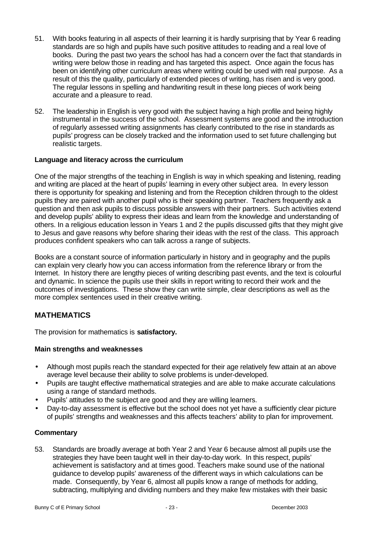- 51. With books featuring in all aspects of their learning it is hardly surprising that by Year 6 reading standards are so high and pupils have such positive attitudes to reading and a real love of books. During the past two years the school has had a concern over the fact that standards in writing were below those in reading and has targeted this aspect. Once again the focus has been on identifying other curriculum areas where writing could be used with real purpose. As a result of this the quality, particularly of extended pieces of writing, has risen and is very good. The regular lessons in spelling and handwriting result in these long pieces of work being accurate and a pleasure to read.
- 52. The leadership in English is very good with the subject having a high profile and being highly instrumental in the success of the school. Assessment systems are good and the introduction of regularly assessed writing assignments has clearly contributed to the rise in standards as pupils' progress can be closely tracked and the information used to set future challenging but realistic targets.

#### **Language and literacy across the curriculum**

One of the major strengths of the teaching in English is way in which speaking and listening, reading and writing are placed at the heart of pupils' learning in every other subject area. In every lesson there is opportunity for speaking and listening and from the Reception children through to the oldest pupils they are paired with another pupil who is their speaking partner. Teachers frequently ask a question and then ask pupils to discuss possible answers with their partners. Such activities extend and develop pupils' ability to express their ideas and learn from the knowledge and understanding of others. In a religious education lesson in Years 1 and 2 the pupils discussed gifts that they might give to Jesus and gave reasons why before sharing their ideas with the rest of the class. This approach produces confident speakers who can talk across a range of subjects.

Books are a constant source of information particularly in history and in geography and the pupils can explain very clearly how you can access information from the reference library or from the Internet. In history there are lengthy pieces of writing describing past events, and the text is colourful and dynamic. In science the pupils use their skills in report writing to record their work and the outcomes of investigations. These show they can write simple, clear descriptions as well as the more complex sentences used in their creative writing.

# **MATHEMATICS**

The provision for mathematics is **satisfactory.**

#### **Main strengths and weaknesses**

- Although most pupils reach the standard expected for their age relatively few attain at an above average level because their ability to solve problems is under-developed.
- Pupils are taught effective mathematical strategies and are able to make accurate calculations using a range of standard methods.
- Pupils' attitudes to the subject are good and they are willing learners.
- Day-to-day assessment is effective but the school does not yet have a sufficiently clear picture of pupils' strengths and weaknesses and this affects teachers' ability to plan for improvement.

#### **Commentary**

53. Standards are broadly average at both Year 2 and Year 6 because almost all pupils use the strategies they have been taught well in their day-to-day work. In this respect, pupils' achievement is satisfactory and at times good. Teachers make sound use of the national guidance to develop pupils' awareness of the different ways in which calculations can be made. Consequently, by Year 6, almost all pupils know a range of methods for adding, subtracting, multiplying and dividing numbers and they make few mistakes with their basic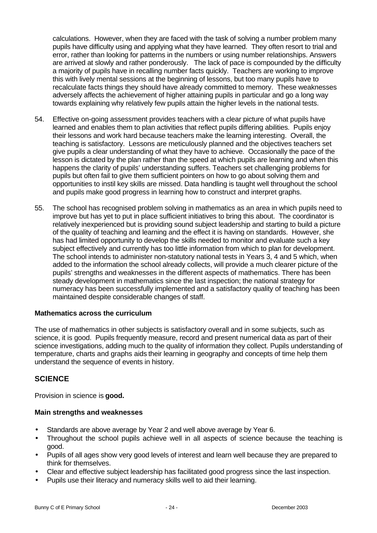calculations. However, when they are faced with the task of solving a number problem many pupils have difficulty using and applying what they have learned. They often resort to trial and error, rather than looking for patterns in the numbers or using number relationships. Answers are arrived at slowly and rather ponderously. The lack of pace is compounded by the difficulty a majority of pupils have in recalling number facts quickly. Teachers are working to improve this with lively mental sessions at the beginning of lessons, but too many pupils have to recalculate facts things they should have already committed to memory. These weaknesses adversely affects the achievement of higher attaining pupils in particular and go a long way towards explaining why relatively few pupils attain the higher levels in the national tests.

- 54. Effective on-going assessment provides teachers with a clear picture of what pupils have learned and enables them to plan activities that reflect pupils differing abilities. Pupils enjoy their lessons and work hard because teachers make the learning interesting. Overall, the teaching is satisfactory. Lessons are meticulously planned and the objectives teachers set give pupils a clear understanding of what they have to achieve. Occasionally the pace of the lesson is dictated by the plan rather than the speed at which pupils are learning and when this happens the clarity of pupils' understanding suffers. Teachers set challenging problems for pupils but often fail to give them sufficient pointers on how to go about solving them and opportunities to instil key skills are missed. Data handling is taught well throughout the school and pupils make good progress in learning how to construct and interpret graphs.
- 55. The school has recognised problem solving in mathematics as an area in which pupils need to improve but has yet to put in place sufficient initiatives to bring this about. The coordinator is relatively inexperienced but is providing sound subject leadership and starting to build a picture of the quality of teaching and learning and the effect it is having on standards. However, she has had limited opportunity to develop the skills needed to monitor and evaluate such a key subject effectively and currently has too little information from which to plan for development. The school intends to administer non-statutory national tests in Years 3, 4 and 5 which, when added to the information the school already collects, will provide a much clearer picture of the pupils' strengths and weaknesses in the different aspects of mathematics. There has been steady development in mathematics since the last inspection; the national strategy for numeracy has been successfully implemented and a satisfactory quality of teaching has been maintained despite considerable changes of staff.

#### **Mathematics across the curriculum**

The use of mathematics in other subjects is satisfactory overall and in some subjects, such as science, it is good. Pupils frequently measure, record and present numerical data as part of their science investigations, adding much to the quality of information they collect. Pupils understanding of temperature, charts and graphs aids their learning in geography and concepts of time help them understand the sequence of events in history.

# **SCIENCE**

Provision in science is **good.**

#### **Main strengths and weaknesses**

- Standards are above average by Year 2 and well above average by Year 6.
- Throughout the school pupils achieve well in all aspects of science because the teaching is good.
- Pupils of all ages show very good levels of interest and learn well because they are prepared to think for themselves.
- Clear and effective subject leadership has facilitated good progress since the last inspection.
- Pupils use their literacy and numeracy skills well to aid their learning.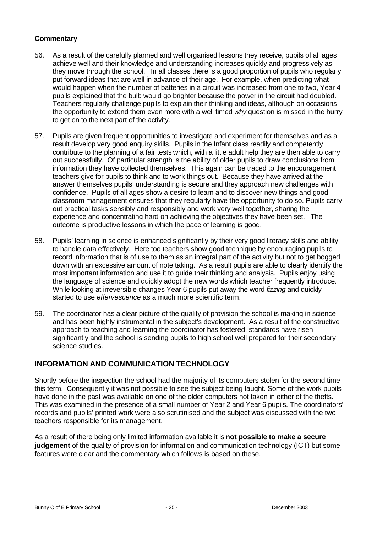## **Commentary**

- 56. As a result of the carefully planned and well organised lessons they receive, pupils of all ages achieve well and their knowledge and understanding increases quickly and progressively as they move through the school. In all classes there is a good proportion of pupils who regularly put forward ideas that are well in advance of their age. For example, when predicting what would happen when the number of batteries in a circuit was increased from one to two, Year 4 pupils explained that the bulb would go brighter because the power in the circuit had doubled. Teachers regularly challenge pupils to explain their thinking and ideas, although on occasions the opportunity to extend them even more with a well timed *why* question is missed in the hurry to get on to the next part of the activity.
- 57. Pupils are given frequent opportunities to investigate and experiment for themselves and as a result develop very good enquiry skills. Pupils in the Infant class readily and competently contribute to the planning of a fair tests which, with a little adult help they are then able to carry out successfully. Of particular strength is the ability of older pupils to draw conclusions from information they have collected themselves. This again can be traced to the encouragement teachers give for pupils to think and to work things out. Because they have arrived at the answer themselves pupils' understanding is secure and they approach new challenges with confidence. Pupils of all ages show a desire to learn and to discover new things and good classroom management ensures that they regularly have the opportunity to do so. Pupils carry out practical tasks sensibly and responsibly and work very well together, sharing the experience and concentrating hard on achieving the objectives they have been set. The outcome is productive lessons in which the pace of learning is good.
- 58. Pupils' learning in science is enhanced significantly by their very good literacy skills and ability to handle data effectively. Here too teachers show good technique by encouraging pupils to record information that is of use to them as an integral part of the activity but not to get bogged down with an excessive amount of note taking. As a result pupils are able to clearly identify the most important information and use it to guide their thinking and analysis. Pupils enjoy using the language of science and quickly adopt the new words which teacher frequently introduce. While looking at irreversible changes Year 6 pupils put away the word *fizzing* and quickly started to use *effervescence* as a much more scientific term.
- 59. The coordinator has a clear picture of the quality of provision the school is making in science and has been highly instrumental in the subject's development. As a result of the constructive approach to teaching and learning the coordinator has fostered, standards have risen significantly and the school is sending pupils to high school well prepared for their secondary science studies.

# **INFORMATION AND COMMUNICATION TECHNOLOGY**

Shortly before the inspection the school had the majority of its computers stolen for the second time this term. Consequently it was not possible to see the subject being taught. Some of the work pupils have done in the past was available on one of the older computers not taken in either of the thefts. This was examined in the presence of a small number of Year 2 and Year 6 pupils. The coordinators' records and pupils' printed work were also scrutinised and the subject was discussed with the two teachers responsible for its management.

As a result of there being only limited information available it is **not possible to make a secure judgement** of the quality of provision for information and communication technology (ICT) but some features were clear and the commentary which follows is based on these.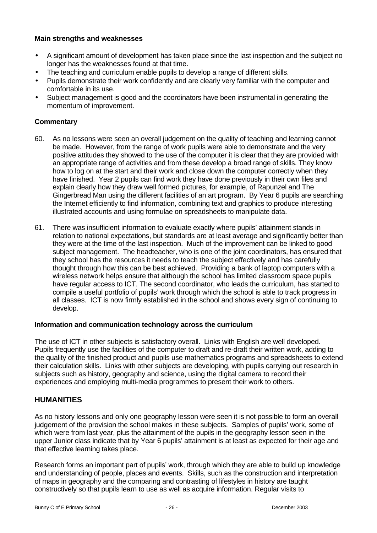#### **Main strengths and weaknesses**

- A significant amount of development has taken place since the last inspection and the subject no longer has the weaknesses found at that time.
- The teaching and curriculum enable pupils to develop a range of different skills.
- Pupils demonstrate their work confidently and are clearly very familiar with the computer and comfortable in its use.
- Subject management is good and the coordinators have been instrumental in generating the momentum of improvement.

#### **Commentary**

- 60. As no lessons were seen an overall judgement on the quality of teaching and learning cannot be made. However, from the range of work pupils were able to demonstrate and the very positive attitudes they showed to the use of the computer it is clear that they are provided with an appropriate range of activities and from these develop a broad range of skills. They know how to log on at the start and their work and close down the computer correctly when they have finished. Year 2 pupils can find work they have done previously in their own files and explain clearly how they draw well formed pictures, for example, of Rapunzel and The Gingerbread Man using the different facilities of an art program. By Year 6 pupils are searching the Internet efficiently to find information, combining text and graphics to produce interesting illustrated accounts and using formulae on spreadsheets to manipulate data.
- 61. There was insufficient information to evaluate exactly where pupils' attainment stands in relation to national expectations, but standards are at least average and significantly better than they were at the time of the last inspection. Much of the improvement can be linked to good subject management. The headteacher, who is one of the joint coordinators, has ensured that they school has the resources it needs to teach the subject effectively and has carefully thought through how this can be best achieved. Providing a bank of laptop computers with a wireless network helps ensure that although the school has limited classroom space pupils have regular access to ICT. The second coordinator, who leads the curriculum, has started to compile a useful portfolio of pupils' work through which the school is able to track progress in all classes. ICT is now firmly established in the school and shows every sign of continuing to develop.

#### **Information and communication technology across the curriculum**

The use of ICT in other subjects is satisfactory overall. Links with English are well developed. Pupils frequently use the facilities of the computer to draft and re-draft their written work, adding to the quality of the finished product and pupils use mathematics programs and spreadsheets to extend their calculation skills. Links with other subjects are developing, with pupils carrying out research in subjects such as history, geography and science, using the digital camera to record their experiences and employing multi-media programmes to present their work to others.

# **HUMANITIES**

As no history lessons and only one geography lesson were seen it is not possible to form an overall judgement of the provision the school makes in these subjects. Samples of pupils' work, some of which were from last year, plus the attainment of the pupils in the geography lesson seen in the upper Junior class indicate that by Year 6 pupils' attainment is at least as expected for their age and that effective learning takes place.

Research forms an important part of pupils' work, through which they are able to build up knowledge and understanding of people, places and events. Skills, such as the construction and interpretation of maps in geography and the comparing and contrasting of lifestyles in history are taught constructively so that pupils learn to use as well as acquire information. Regular visits to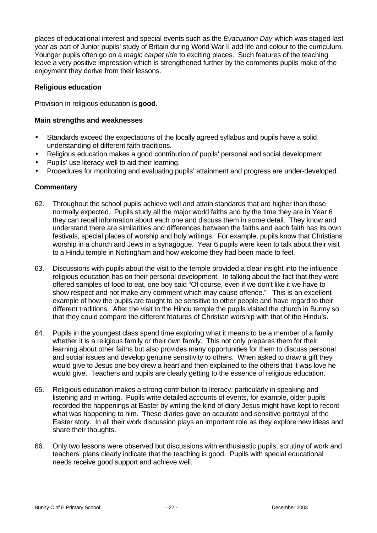places of educational interest and special events such as the *Evacuation Day* which was staged last year as part of Junior pupils' study of Britain during World War II add life and colour to the curriculum. Younger pupils often go on a *magic carpet ride* to exciting places. Such features of the teaching leave a very positive impression which is strengthened further by the comments pupils make of the enjoyment they derive from their lessons.

#### **Religious education**

Provision in religious education is **good.**

#### **Main strengths and weaknesses**

- Standards exceed the expectations of the locally agreed syllabus and pupils have a solid understanding of different faith traditions.
- Religious education makes a good contribution of pupils' personal and social development
- Pupils' use literacy well to aid their learning.
- Procedures for monitoring and evaluating pupils' attainment and progress are under-developed.

- 62. Throughout the school pupils achieve well and attain standards that are higher than those normally expected. Pupils study all the major world faiths and by the time they are in Year 6 they can recall information about each one and discuss them in some detail. They know and understand there are similarities and differences between the faiths and each faith has its own festivals, special places of worship and holy writings. For example, pupils know that Christians worship in a church and Jews in a synagogue. Year 6 pupils were keen to talk about their visit to a Hindu temple in Nottingham and how welcome they had been made to feel.
- 63. Discussions with pupils about the visit to the temple provided a clear insight into the influence religious education has on their personal development. In talking about the fact that they were offered samples of food to eat, one boy said "Of course, even if we don't like it we have to show respect and not make any comment which may cause offence." This is an excellent example of how the pupils are taught to be sensitive to other people and have regard to their different traditions. After the visit to the Hindu temple the pupils visited the church in Bunny so that they could compare the different features of Christian worship with that of the Hindu's.
- 64. Pupils in the youngest class spend time exploring what it means to be a member of a family whether it is a religious family or their own family. This not only prepares them for their learning about other faiths but also provides many opportunities for them to discuss personal and social issues and develop genuine sensitivity to others. When asked to draw a gift they would give to Jesus one boy drew a heart and then explained to the others that it was love he would give. Teachers and pupils are clearly getting to the essence of religious education.
- 65. Religious education makes a strong contribution to literacy, particularly in speaking and listening and in writing. Pupils write detailed accounts of events, for example, older pupils recorded the happenings at Easter by writing the kind of diary Jesus might have kept to record what was happening to him. These diaries gave an accurate and sensitive portrayal of the Easter story. In all their work discussion plays an important role as they explore new ideas and share their thoughts.
- 66. Only two lessons were observed but discussions with enthusiastic pupils, scrutiny of work and teachers' plans clearly indicate that the teaching is good. Pupils with special educational needs receive good support and achieve well.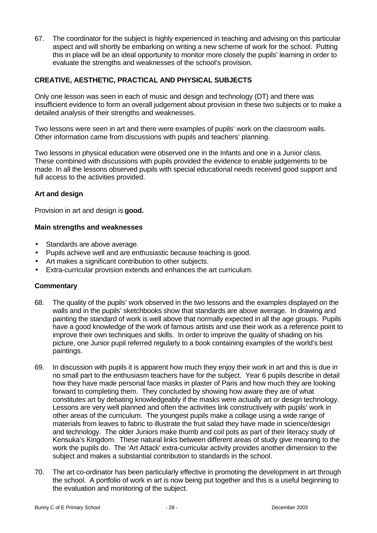67. The coordinator for the subject is highly experienced in teaching and advising on this particular aspect and will shortly be embarking on writing a new scheme of work for the school. Putting this in place will be an ideal opportunity to monitor more closely the pupils' learning in order to evaluate the strengths and weaknesses of the school's provision.

# **CREATIVE, AESTHETIC, PRACTICAL AND PHYSICAL SUBJECTS**

Only one lesson was seen in each of music and design and technology (DT) and there was insufficient evidence to form an overall judgement about provision in these two subjects or to make a detailed analysis of their strengths and weaknesses.

Two lessons were seen in art and there were examples of pupils' work on the classroom walls. Other information came from discussions with pupils and teachers' planning.

Two lessons in physical education were observed one in the Infants and one in a Junior class. These combined with discussions with pupils provided the evidence to enable judgements to be made. In all the lessons observed pupils with special educational needs received good support and full access to the activities provided.

#### **Art and design**

Provision in art and design is **good.**

#### **Main strengths and weaknesses**

- Standards are above average.
- Pupils achieve well and are enthusiastic because teaching is good.
- Art makes a significant contribution to other subjects.
- Extra-curricular provision extends and enhances the art curriculum.

- 68. The quality of the pupils' work observed in the two lessons and the examples displayed on the walls and in the pupils' sketchbooks show that standards are above average. In drawing and painting the standard of work is well above that normally expected in all the age groups. Pupils have a good knowledge of the work of famous artists and use their work as a reference point to improve their own techniques and skills. In order to improve the quality of shading on his picture, one Junior pupil referred regularly to a book containing examples of the world's best paintings.
- 69. In discussion with pupils it is apparent how much they enjoy their work in art and this is due in no small part to the enthusiasm teachers have for the subject. Year 6 pupils describe in detail how they have made personal face masks in plaster of Paris and how much they are looking forward to completing them. They concluded by showing how aware they are of what constitutes art by debating knowledgeably if the masks were actually art or design technology. Lessons are very well planned and often the activities link constructively with pupils' work in other areas of the curriculum. The youngest pupils make a collage using a wide range of materials from leaves to fabric to illustrate the fruit salad they have made in science/design and technology. The older Juniors make thumb and coil pots as part of their literacy study of Kensuka's Kingdom. These natural links between different areas of study give meaning to the work the pupils do. The 'Art Attack' extra-curricular activity provides another dimension to the subject and makes a substantial contribution to standards in the school.
- 70. The art co-ordinator has been particularly effective in promoting the development in art through the school. A portfolio of work in art is now being put together and this is a useful beginning to the evaluation and monitoring of the subject.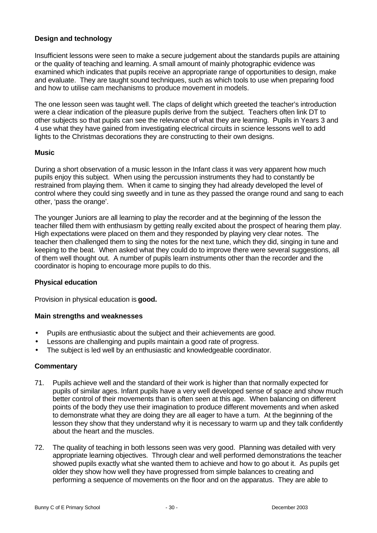### **Design and technology**

Insufficient lessons were seen to make a secure judgement about the standards pupils are attaining or the quality of teaching and learning. A small amount of mainly photographic evidence was examined which indicates that pupils receive an appropriate range of opportunities to design, make and evaluate. They are taught sound techniques, such as which tools to use when preparing food and how to utilise cam mechanisms to produce movement in models.

The one lesson seen was taught well. The claps of delight which greeted the teacher's introduction were a clear indication of the pleasure pupils derive from the subject. Teachers often link DT to other subjects so that pupils can see the relevance of what they are learning. Pupils in Years 3 and 4 use what they have gained from investigating electrical circuits in science lessons well to add lights to the Christmas decorations they are constructing to their own designs.

#### **Music**

During a short observation of a music lesson in the Infant class it was very apparent how much pupils enjoy this subject. When using the percussion instruments they had to constantly be restrained from playing them. When it came to singing they had already developed the level of control where they could sing sweetly and in tune as they passed the orange round and sang to each other, 'pass the orange'.

The younger Juniors are all learning to play the recorder and at the beginning of the lesson the teacher filled them with enthusiasm by getting really excited about the prospect of hearing them play. High expectations were placed on them and they responded by playing very clear notes. The teacher then challenged them to sing the notes for the next tune, which they did, singing in tune and keeping to the beat. When asked what they could do to improve there were several suggestions, all of them well thought out. A number of pupils learn instruments other than the recorder and the coordinator is hoping to encourage more pupils to do this.

#### **Physical education**

Provision in physical education is **good.**

#### **Main strengths and weaknesses**

- Pupils are enthusiastic about the subject and their achievements are good.
- Lessons are challenging and pupils maintain a good rate of progress.
- The subject is led well by an enthusiastic and knowledgeable coordinator.

- 71. Pupils achieve well and the standard of their work is higher than that normally expected for pupils of similar ages. Infant pupils have a very well developed sense of space and show much better control of their movements than is often seen at this age. When balancing on different points of the body they use their imagination to produce different movements and when asked to demonstrate what they are doing they are all eager to have a turn. At the beginning of the lesson they show that they understand why it is necessary to warm up and they talk confidently about the heart and the muscles.
- 72. The quality of teaching in both lessons seen was very good. Planning was detailed with very appropriate learning objectives. Through clear and well performed demonstrations the teacher showed pupils exactly what she wanted them to achieve and how to go about it. As pupils get older they show how well they have progressed from simple balances to creating and performing a sequence of movements on the floor and on the apparatus. They are able to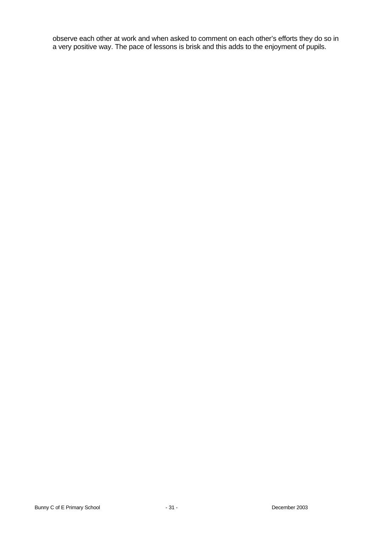observe each other at work and when asked to comment on each other's efforts they do so in a very positive way. The pace of lessons is brisk and this adds to the enjoyment of pupils.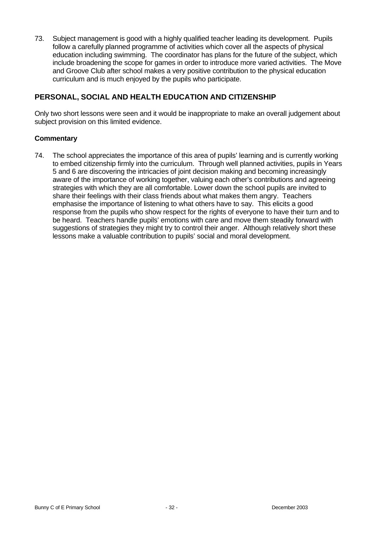73. Subject management is good with a highly qualified teacher leading its development. Pupils follow a carefully planned programme of activities which cover all the aspects of physical education including swimming. The coordinator has plans for the future of the subject, which include broadening the scope for games in order to introduce more varied activities. The Move and Groove Club after school makes a very positive contribution to the physical education curriculum and is much enjoyed by the pupils who participate.

# **PERSONAL, SOCIAL AND HEALTH EDUCATION AND CITIZENSHIP**

Only two short lessons were seen and it would be inappropriate to make an overall judgement about subject provision on this limited evidence.

#### **Commentary**

74. The school appreciates the importance of this area of pupils' learning and is currently working to embed citizenship firmly into the curriculum. Through well planned activities, pupils in Years 5 and 6 are discovering the intricacies of joint decision making and becoming increasingly aware of the importance of working together, valuing each other's contributions and agreeing strategies with which they are all comfortable. Lower down the school pupils are invited to share their feelings with their class friends about what makes them angry. Teachers emphasise the importance of listening to what others have to say. This elicits a good response from the pupils who show respect for the rights of everyone to have their turn and to be heard. Teachers handle pupils' emotions with care and move them steadily forward with suggestions of strategies they might try to control their anger. Although relatively short these lessons make a valuable contribution to pupils' social and moral development.